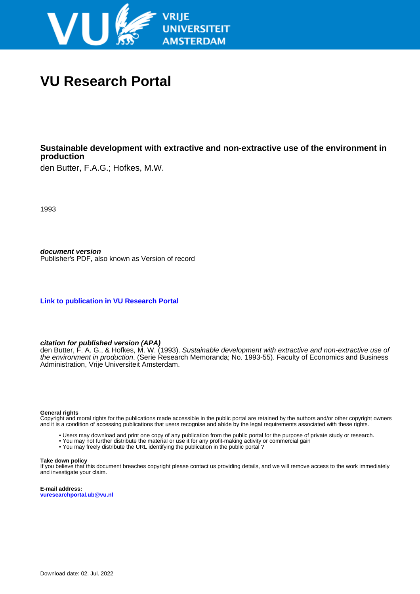

# **VU Research Portal**

## **Sustainable development with extractive and non-extractive use of the environment in production**

den Butter, F.A.G.; Hofkes, M.W.

1993

**document version** Publisher's PDF, also known as Version of record

**[Link to publication in VU Research Portal](https://research.vu.nl/en/publications/420090f6-364f-404d-8898-37be47cd5ca1)**

#### **citation for published version (APA)**

den Butter, F. A. G., & Hofkes, M. W. (1993). Sustainable development with extractive and non-extractive use of the environment in production. (Serie Research Memoranda; No. 1993-55). Faculty of Economics and Business Administration, Vrije Universiteit Amsterdam.

#### **General rights**

Copyright and moral rights for the publications made accessible in the public portal are retained by the authors and/or other copyright owners and it is a condition of accessing publications that users recognise and abide by the legal requirements associated with these rights.

- Users may download and print one copy of any publication from the public portal for the purpose of private study or research.
- You may not further distribute the material or use it for any profit-making activity or commercial gain
- You may freely distribute the URL identifying the publication in the public portal ?

#### **Take down policy**

If you believe that this document breaches copyright please contact us providing details, and we will remove access to the work immediately and investigate your claim.

**E-mail address: vuresearchportal.ub@vu.nl**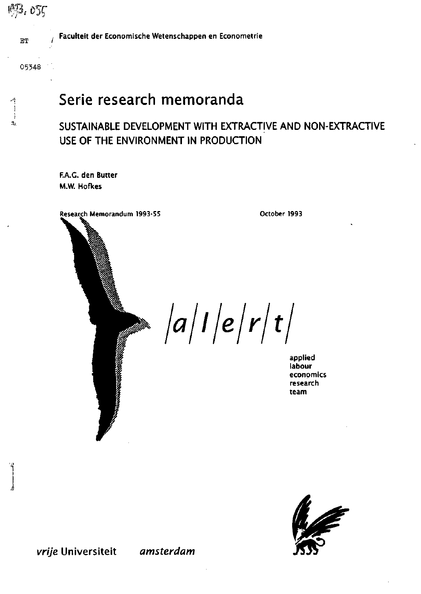$p^{0.73}$ ,  $p^{0.75}$ 

**ET** 

چي

Faculteit der Economische Wetenschappen en Econometrie

05348

# Serie research memoranda

## SUSTAINABLE DEVELOPMENT WITH EXTRACTIVE AND NON-EXTRACTIVE USE OF THE ENVIRONMENT IN PRODUCTION

F.A.C, den Butter M.W. Hofkes

Research Memorandum 1993-55 October 1993



 $|a|$   $|e|$   $r|$   $t$ 

applied labour economics research team



vrije Universiteit amsterdam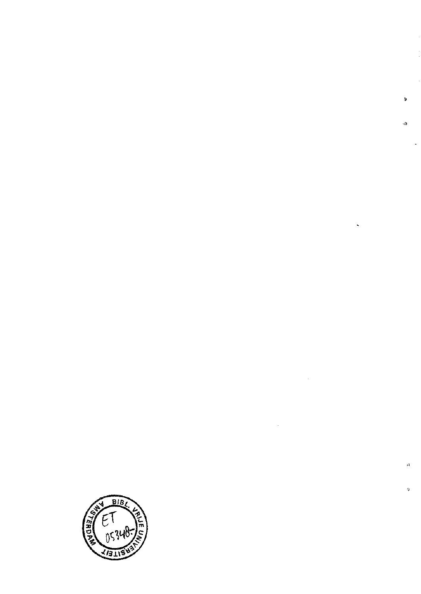

l,

۵

 $\hat{\mathbf{a}}$ 

.,

 $\ddot{\phantom{0}}$ 

 $\hat{\mathcal{A}}$ 

 $\hat{\mathcal{A}}$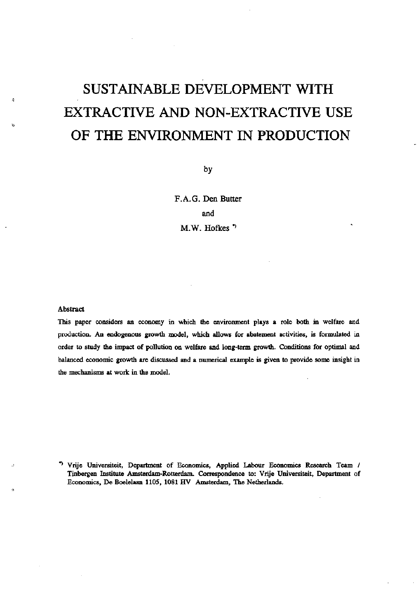# SUSTAINABLE DEVELOPMENT WITH EXTRACTIVE AND NON-EXTRACTWE USE OF THE ENVIRONMENT IN PRODUCTION

by

F.A.G. Den Butter and M.W. Hofkes<sup>"</sup>

#### **Abstract**

This paper considers an economy in which the environment plays a role both in welfare and production. An endogenous growth model, which allows for abatement activities, is formulated in order to study the impact of poUution on welfare and long-term growth. Conditions for optimal and balanced economie growth are discussed and a numerical example is given to provide some insight in the mechanisms at work in the model.

Vrije Universiteit, Department of Economics, Applied Labour Economics Research Team / Tinbergen Institute Amsterdam-Rotterdam. Correspondence to: Vrije Universiteit, Department of Economics, De Boelelaan 1105, 1081 HV Amsterdam, The Netherlands.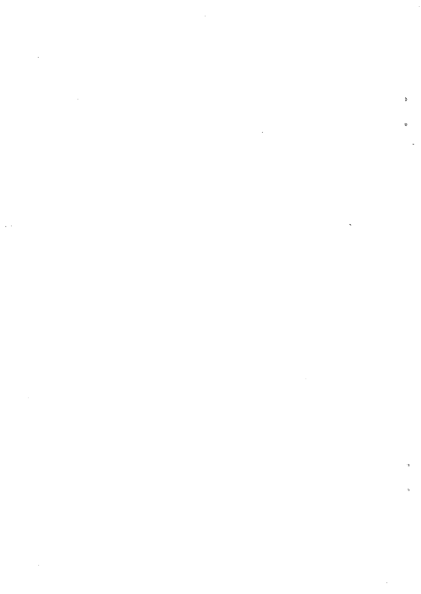$\mathcal{L}_{\text{max}}$ 

 $\label{eq:2.1} \mathcal{L}(\mathcal{L}(\mathcal{L})) = \mathcal{L}(\mathcal{L}(\mathcal{L})) = \mathcal{L}(\mathcal{L}(\mathcal{L})) = \mathcal{L}(\mathcal{L}(\mathcal{L})) = \mathcal{L}(\mathcal{L}(\mathcal{L})) = \mathcal{L}(\mathcal{L}(\mathcal{L})) = \mathcal{L}(\mathcal{L}(\mathcal{L})) = \mathcal{L}(\mathcal{L}(\mathcal{L})) = \mathcal{L}(\mathcal{L}(\mathcal{L})) = \mathcal{L}(\mathcal{L}(\mathcal{L})) = \mathcal{L}(\mathcal{L}(\mathcal{L})) = \math$ 

 $\hat{\varphi}$  .

 $\label{eq:2.1} \frac{1}{2} \sum_{i=1}^n \frac{1}{2} \sum_{j=1}^n \frac{1}{2} \sum_{j=1}^n \frac{1}{2} \sum_{j=1}^n \frac{1}{2} \sum_{j=1}^n \frac{1}{2} \sum_{j=1}^n \frac{1}{2} \sum_{j=1}^n \frac{1}{2} \sum_{j=1}^n \frac{1}{2} \sum_{j=1}^n \frac{1}{2} \sum_{j=1}^n \frac{1}{2} \sum_{j=1}^n \frac{1}{2} \sum_{j=1}^n \frac{1}{2} \sum_{j=1}^n \frac{$ 

 $\label{eq:2.1} \frac{1}{\sqrt{2}}\int_{\mathbb{R}^3}\frac{1}{\sqrt{2}}\left(\frac{1}{\sqrt{2}}\right)^2\frac{1}{\sqrt{2}}\left(\frac{1}{\sqrt{2}}\right)^2\frac{1}{\sqrt{2}}\left(\frac{1}{\sqrt{2}}\right)^2\frac{1}{\sqrt{2}}\left(\frac{1}{\sqrt{2}}\right)^2\frac{1}{\sqrt{2}}\left(\frac{1}{\sqrt{2}}\right)^2\frac{1}{\sqrt{2}}\left(\frac{1}{\sqrt{2}}\right)^2\frac{1}{\sqrt{2}}\left(\frac{1}{\sqrt{2}}\right)^2\frac{1}{\sqrt{$ 

þ.

 $\ddot{\Phi}$ 

 $\dot{\mathcal{H}}$ 

 $\frac{1}{2}$ 

 $\label{eq:2.1} \frac{1}{\sqrt{2}}\left(\frac{1}{\sqrt{2}}\right)^{2} \left(\frac{1}{\sqrt{2}}\right)^{2} \left(\frac{1}{\sqrt{2}}\right)^{2} \left(\frac{1}{\sqrt{2}}\right)^{2} \left(\frac{1}{\sqrt{2}}\right)^{2} \left(\frac{1}{\sqrt{2}}\right)^{2} \left(\frac{1}{\sqrt{2}}\right)^{2} \left(\frac{1}{\sqrt{2}}\right)^{2} \left(\frac{1}{\sqrt{2}}\right)^{2} \left(\frac{1}{\sqrt{2}}\right)^{2} \left(\frac{1}{\sqrt{2}}\right)^{2} \left(\$ 

 $\label{eq:2.1} \frac{1}{\sqrt{2}}\int_{\mathbb{R}^3}\frac{1}{\sqrt{2}}\left(\frac{1}{\sqrt{2}}\right)^2\frac{1}{\sqrt{2}}\left(\frac{1}{\sqrt{2}}\right)^2\frac{1}{\sqrt{2}}\left(\frac{1}{\sqrt{2}}\right)^2\frac{1}{\sqrt{2}}\left(\frac{1}{\sqrt{2}}\right)^2\frac{1}{\sqrt{2}}\left(\frac{1}{\sqrt{2}}\right)^2\frac{1}{\sqrt{2}}\frac{1}{\sqrt{2}}\frac{1}{\sqrt{2}}\frac{1}{\sqrt{2}}\frac{1}{\sqrt{2}}\frac{1}{\sqrt{2}}$ 

 $\langle \cdot | \cdot \rangle$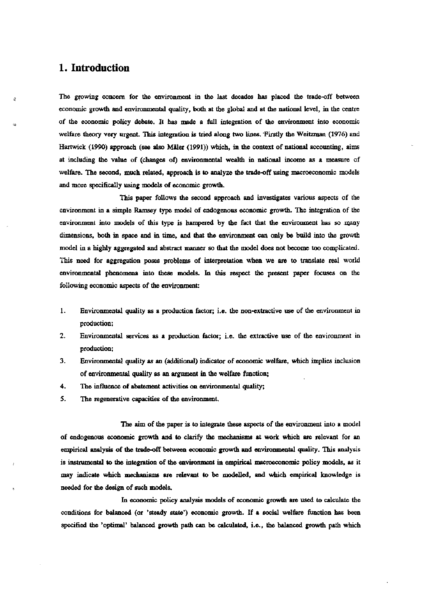## **1. Introduction**

The growing concern for the environment in the last decades has placed the trade-off between economie growth and environmental quality, both at the global and at the national level, in the centre of the economie policy debate. It has made a full integration of the environment into economie welfare theory very urgent. This integration is tried along two lines. Firstly the Weitzman (1976) and Hartwick (1990) approach (see also Maler (1991)) which, in the context of national accounting, aims at including the value of (changes of) environmental wealth in national income as a measure of welfare. The second, much related, approach is to analyze the trade-off using macroeconomic models and more specifically using models of economie growth.

This paper follows the second approach and investigates various aspects of the environment in a simple Ramsey type model of endogenous economie growth. The integration of the environment into models of this type is hampered by the fact that the environment has so many dimensions, both in space and in time, and that the environment can only be build into the growth model in a highly aggregated and abstract manner so that the model does not become too complicated. This need for aggregation poses problems of interpretation when we are to translate real world environmental phenomena into these models. In this respect the present paper focuses on the following economie aspects of the environment:

- 1. Environmental quality as a production factor; i.e. the non-extractive use of the environment in production;
- 2. Environmental services as a production factor; i.e. the extractive use of the environment in production;
- 3. Environmental quality as an (additional) indicator of economic welfare, which implies inclusion of environmental quality as an argument in the welfare function;
- 4. The influence of abatement activities on environmental quality;
- 5. The regenerative capacities of the environment.

The aim of the paper is to integrate these aspects of the environment into a model of endogenous economie growth and to clarify the mechanisms at work which are relevant for an empirical analysis of the trade-off between economic growth and environmental quality. This analysis is instrumental to the integration of the environment in empirical macroeconomic policy models, as it may indicate which mechanisms are relevant to be modelled, and which empirical knowledge is needed for the design of such models.

In economie policy analysis models of economie growth are used to calculate the conditions for balanced (or 'steady state') economie growth. If a social welfare function has been specified the 'optimal' balanced growth path can be calculated, i.e., the balanced growth path which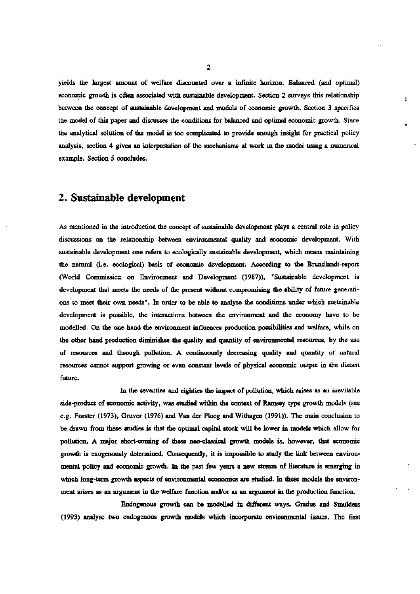yields the largest amount of welfare discounted over a infinite horizon. Balanced (and optimal) economie growth is often associated with sustainable development. Section 2 surveys this relationship between the concept of sustainable development and models of economie growth. Section 3 specifies the model of this paper and discusses the conditions for balanced and optimal economie growth. Since the analytical solution of the model is too complicated to provide enough insight for practical policy analysis, section 4 gives an interpretation of the mechanisms at work in the model using a numerical example. Section 5 concludes.

## **2. Sustainable development**

As mentioned in the introduction the concept of sustainable development plays a central role in policy discussions on the relationship between environmental quality and economie development. With sustainable development one refers to ecologically sustainable development, which means maintaining the natural (i.e. ecological) basis of economie development. According to the Brundlandt-report (World Commissies on Environment and Development (1987)), "Sustainable development is development that meets the needs of the present without compromising the ability of future generations to meet their own needs". In order to be able to analyse the conditions under which sustainable development is possible, the interactions between the environment and the economy have to be modelled. On the one hand the environment influences production possibilities and welfare, while on the other hand production diminishes the quality and quantity of environmental resources, by the use of resources and through pollution. A continuously decreasing quality and quantity of natural resources cannot support growing or even constant levels of physical economie output in the distant future.

In the seventies and eighties the impact of pollution, which arises as an inevitable side-product of economie activity, was studied within the context of Ramsey type growth models (see e.g. Forster (1973), Gruver (1976) and Van der Ploeg and Withagen (1991)). The main conclusion to be drawn from these studies is that the optimal capital stock will be lower in models which allow for pollution. A major short-coming of these neo-classical growth models is, however, that economie growth is exogenously determined. Consequently, it is impossible to study the link between environmental policy and economie growth. In the past few years a new stream of literature is emerging in which long-term growth aspects of environmental economics are studied. In these models the environment arises as an argument in the welfare function and/or as an argument in the production function.

Endogenous growth can be modelled in different ways. Gradus and Smulders (1993) analyse two endogenous growth models which incorporate environmental issues. The first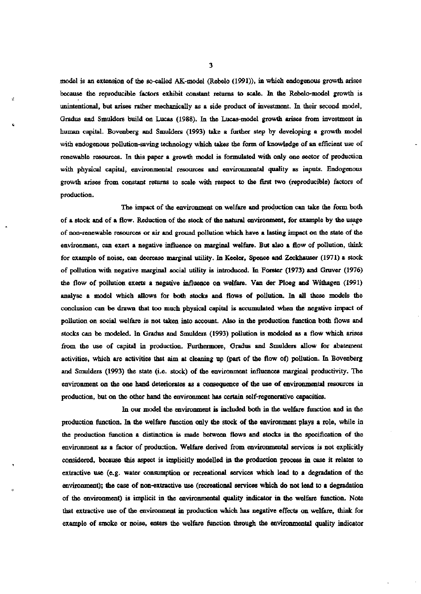model is an extension of the so-cailed AK-model (Rebelo (1991)), in which endogenous growth arises because the reproducible factors exhibit constant returns to scale. In the Rebelo-model growth is unintentional, but arises rather mechanically as a side product of investment. In their second model, Gradus and Smulders build on Lucas (1988). In the Lucas-model growth arises from investment in human capital. Bovenberg and Smulders (1993) take & further step by developing a growth model with endogenous pollution-saving technology which takes the form of knowledge of an efficient use of renewable resources. In this paper a growth model is formulated with only one sector of production with physical capital, environmental resources and environmental quality as inputs. Endogenous growth arises from constant returns to scale with respect to the first two (reproducible) factors of production.

The impact of the environment on welfare and production can take the fonn both of a stock and of a flow. Reduction of the stock of the natural environment, for example by the usage of non-renewable resources or air and ground pollution which have a lasting impact on the state of the environment, can exert a negative infiuence on marginal welfare. But also a flow of pollution, think for example of noise, can decrease marginal utility. In Keeler, Spence and Zeckhauser (1971) a stock of pollution with negative marginal social utility is introduced. In Forster (1973) and Gruver (1976) the flow of pollution exerts a negative infiuence on welfare. Van der Ploeg and Withagen (1991) analyse a model which allows for both stocks and flows of pollution. In all these models the conclusion can be drawn that too much physical capital is accumulated when the negative impact of pollution on social welfare is not taken into account. Also in the production function both flows and stocks can be modeled. In Gradus and Smulders (1993) pollution is modeled as a flow which arises from the use of capital in production. Furthermore, Gradus and Smulders allow for abatement activities, which are activities that aim at cleaning up (part of the flow of) pollution. In Bovenberg and Smulders (1993) the state (i.e. stock) of the environment influences marginal productivity. The environment on the one hand deteriorates as a consequence of the use of environmental resources in production, but on the other hand the environment has certain self-regenerative capacities.

In our model the environment is included both in the welfare function and in the production function. In the welfare function only the stock of the environment plays a role, while in the production function a distinction is made between flows and stocks in the specification of the environment as a factor of production. Welfare derived from environmental services is not explicitly considered, because this aspect is implicitly modelled in the production process in case it relates to extractive use (e.g. water consumption or recreational services which lead to a degradation of the environment); the case of non-extractive use (recreational services which do not lead to a degradation of the environment) is implicit in the environmental quality indicator in the welfare function. Note that extractive use of the environment in production which has negative effects on welfare, think for example of smoke or noise, enters the welfare function through the environmental quality indicator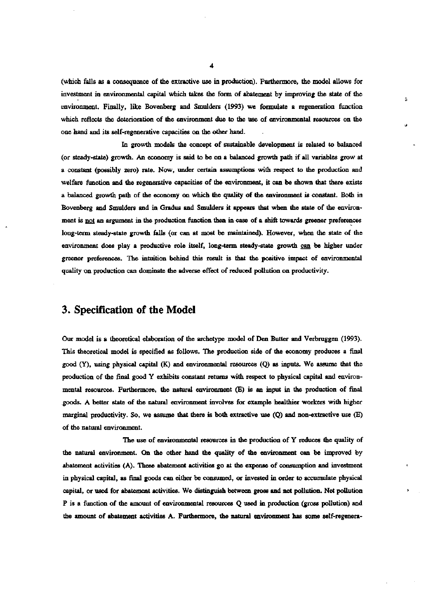(which falls as a consequence of the extractive use in production). Furthermore, the model allows for investment in environmental capital which takes the fonn of abatement by improving the state of the environment. Finally, like Bovenberg and Smulders (1993) we fonnulate a regeneration function which reflects the deterioration of the environment due to the use of environmental resources on the one hand and its self-regenerative capacities on the other hand.

In growth models the concept of sustainable development is related to balanced (or steady-state) growth. An economy is said to be on a balanced growth path if all variables grow at a constant (possibly zero) rate. Now, under certain assumptions with respect to the production and welfare function and the regenerative capacities of the environment, it can be shown that there exists a balanced growth path of the economy on which the quality of the environment is constant. Both in Bovenberg and Smulders and in Gradus and Smulders it appears that when the state of the environment is not an argument in the production function then in case of a shift towards greener preferences long-term steady-state growth falls (or can at most be maintained). However, when the state of the environment does play a productive role itself, long-term steady-state growth can be higher under greener preferences. The intuition behind this result is that the positive impact of environmental quality on production can dominate the adverse effect of reduced pollution on productivity.

## **3. Specification of the Model**

Our model is a theoretical elaboration of the archetype model of Den Butter and Verbruggen (1993). This theoretical model is specified as follows. The production side of the economy produces a final good (Y), using physical capital (K) and environmental resources (Q) as inputs. We assume that the production of the final good Y exhibits constant returns with respect to physical capital and environmental resources. Furthermore, the natural environment (E) is an input in the production of final goods. A better state of the natural environment involves for example healthier workers with higher marginal productivity. So, we assume that there is both extractive use (Q) and non-extractive use (E) of the natural environment.

The use of environmental resources in the production of Y reduces the quality of the natural environment. On the other hand the quality of the environment can be improved by abatement activities (A). These abatement activities go at the expense of consumption and investment in physical capital, as final goods can either be consumed, or invested in order to accumulate physical capital, or used for abatement activities. We distinguish between gross and net pollution. Net pollution P is a function of the amount of environmental resources Q used in production (gross pollution) and the amount of abatement activities A. Furthermore, the natural environment nas some self-regenera-

**4**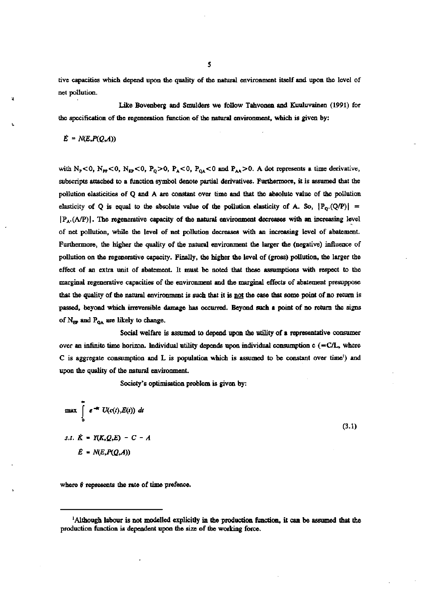tive capacities which depend upon the quality of the natural environment itself and upon the level of net pollution.

Iike Bovenberg and Smulders we follow Tahvonen and Kuuluvainen (1991) for the specification of the regeneration function of the natural environment, which is given by:

$$
E = N(E, P(Q,A))
$$

with N<sub>P</sub> < 0, N<sub>PP</sub> < 0, N<sub>EP</sub> < 0, P<sub>0</sub> > 0, P<sub>0</sub> < 0, P<sub>04</sub> < 0 and P<sub>AA</sub> > 0. A dot represents a time derivative, subscripts attached to a function symbol denote partial derivatives. Furthennore, it is assumed that the pollution elasticities of Q and A are constant over time and that the absolute value of the pollution elasticity of Q is equal to the absolute value of the pollution elasticity of A. So,  $|P_0(Q/P)| =$  $|P_A(A/P)|$ . The regenerative capacity of the natural environment decreases with an increasing level of net pollution, while the level of net pollution decreases with an increasing level of abatement. Furthennore, the higher the quality of the natural environment the larger the (negative) influence of pollution on the regenerative capacity. Finally, the higher the level of (gross) pollution, the larger the effect of an extra unit of abatement. It must be noted that these assumptions with respect to the marginal regenerative capacities of the environment and the marginal effects of abatement presuppose that the quality of the natural environment is such that it is not the case that some point of no return is passed, beyond which irreversible damage bas occurred. Beyond such a point of no return the signs of  $N_{EP}$  and  $P_{OA}$  are likely to change.

Social welfare is assumed to depend upon the utility of a representative consumer over an infinite time horizon. Individual utility depends upon individual consumption  $c \left( = CL \right)$ , where C is aggregate consumption and L is population which is assumed to be constant over time<sup>1</sup>) and upon the quality of the natural environment.

Society's optimisation problem is given by:

$$
\max \int_{0}^{\infty} e^{-kt} U(c(t), E(t)) dt
$$
  
s.t.  $K = Y(K, Q, E) - C - A$   
 $E = N(E, P(Q, A))$ 

where  $\theta$  represents the rate of time prefence.

(3.1)

<sup>&#</sup>x27;Although labour is not modelled explicitly in the production function, it can be assumed that the production function is dependent upon the size of the working force.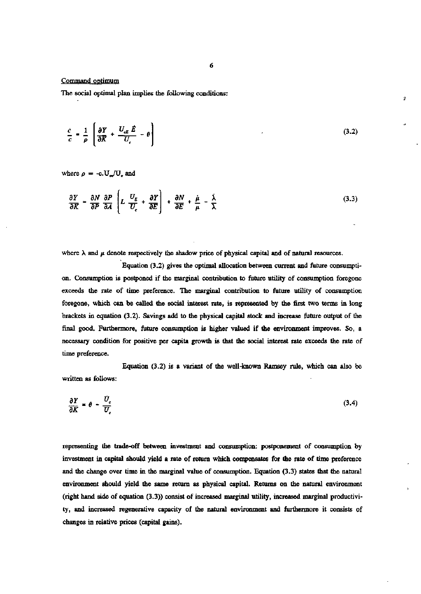#### Command optimum

The social optimal plan implies the following conditions:

$$
\frac{c}{c} = \frac{1}{\rho} \left[ \frac{\partial Y}{\partial K} + \frac{U_{cE} E}{U_c} - \theta \right]
$$
\n(3.2)

where  $\rho = -c$ .  $U_{\infty}/U_{\infty}$  and

$$
\frac{\partial Y}{\partial K} = \frac{\partial N}{\partial P} \frac{\partial P}{\partial A} \left[ L \frac{U_E}{U_c} + \frac{\partial Y}{\partial E} \right] + \frac{\partial N}{\partial E} + \frac{\dot{\mu}}{\mu} - \frac{\dot{\lambda}}{\lambda}
$$
(3.3)

where  $\lambda$  and  $\mu$  denote respectively the shadow price of physical capital and of natural resources.

Equation (3.2) gives the optimal allocation between current and future consumption. Consumption is postponed if the marginal contribution to future utility of consumption foregone exceeds the rate of time preference. The marginal contribution to future utility of consumption foregone, which can be called the social interest rate, is represented by the first two terms in long brackets in equation (3.2). Savings add to the physical capital stock and increase future output of the final good. Furthermore, future consumption is higher valued if the environment improves. So, a necessary condition for positive per capita growth is that the social interest rate exceeds the rate of time preference.

Equation (3.2) is a variant of the well-known Ramsey rule, which can also be written as follows:

$$
\frac{\partial Y}{\partial K} = \theta - \frac{U_c}{U_c} \tag{3.4}
$$

representing the trade-off between investment and consumption: postponement of consumption by investment in capital should yield a rate of return which compensates for the rate of time preference and the change over time in the marginal value of consumption. Equation (3.3) states that the natural environment should yield the same return as physical capital. Returns on the natural environment (right hand side of equation (3.3)) consist of increased marginal utility, increased marginal productivity, and increased regenerative capacity of the natural environment and furthermore it consists of changes in relative prices (capital gains).

垒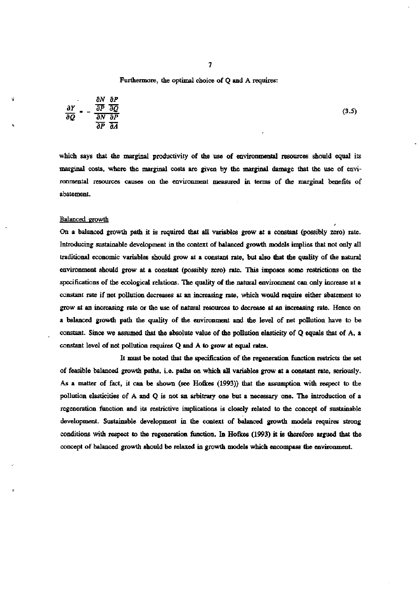Furthermore, the optimal choice of Q and A requires:

$$
\frac{\partial Y}{\partial Q} = -\frac{\frac{\partial N}{\partial P} \frac{\partial P}{\partial Q}}{\frac{\partial N}{\partial P} \frac{\partial P}{\partial A}}
$$
(3.5)

which says that the marginal productivity of the use of environmental resources should equal its marginal costs, where the marginal costs are given by the marginal damage that the use of environmental resources causes on the environment measured in terms of the marginal benefits of abatement.

#### Balanced growth

On a balanced growth path it is required that all variables grow at a constant (possibly zero) rate. Introducing sustainable development in the context of balanced growth models implies that not only all traditional economie variables should grow at a constant rate, but also that the quality of the natural environment should grow at a constant (possibly zero) rate. This imposes some restrictions on the specifications of the ecological relations. The quality of the natural environment can only increase at a constant rate if net pollution decreases at an increasing rate, which would require either abatement to grow at an increasing rate or the use of natural resources to decrease at an increasing rate. Hence on a balanced growth path the quality of the environment and the level of net pollution have to be constant. Since we assumed that the absolute value of the pollution elasticity of Q equals that of A, a constant level of net pollution requires Q and A to grow at equal rates.

It must be noted that the specification of the regeneration function restricts the set of feasible balanced growth paths, i.e. paths on which all variables grow at a constant rate, seriously. As a matter of fact, it can be shown (see Hofkes (1993)) that the assumption with respect to the pollution elasticities of A and Q is not an arbitrary one but a necessary one. The introduction of a regeneration function and its restrictive implications is closely related to the concept of sustainable development. Sustainable development in the context of balanced growth models requires strong conditions with respect to the regeneration function. In Hofkes (1993) it is therefore argued that the concept of balanced growth should be relaxed in growth models which encompass the environment.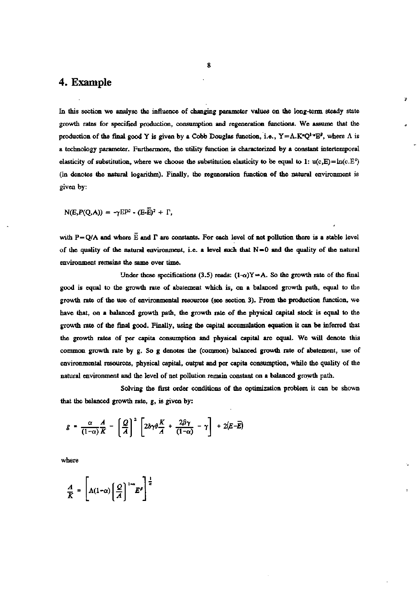### 4. Example

In this section we analyse the influence of changing parameter values on the long-tenn steady state growth rates for specifïed production, consumption and regeneration functions. We assume that the production of the final good Y is given by a Cobb Douglas function, i.e.,  $Y = \Lambda$ .K<sup>{\at \at \be{Q}}{-\formula}} \end{B}\$.</sup> a technology parameter. Furthermore, the utility function is characterized by a constant intertemporal elasticity of substitution, where we choose the substitution elasticity to be equal to 1:  $u(c, E) = ln(c. E^3)$ (In denotes the natural logarithm). Finally, the regeneration function of the natural environment is given by:

 $N(E, P(Q, A)) = -\gamma EP^2 - (E - \overline{E})^2 + \Gamma,$ 

with  $P=Q/A$  and where  $\overline{E}$  and  $\Gamma$  are constants. For each level of net pollution there is a stable level of the quality of the natural environment, i.e. a level such that  $N=0$  and the quality of the natural environment remains the same over time.

Under these specifications (3.5) reads:  $(1-\alpha)Y = A$ . So the growth rate of the final good is equal to the growth rate of abatement which is, on a balanced growth path, equal to the growth rate of the use of environmental resources (see section 3). From the production function, we have that, on a balanced growth path, the growth rate of the physical capital stock is equal to the growth rate of the fïnal good. Finally, using the capital accumulation equation it can be inferred that the growth rates of per capita consumption and physical capital are equal. We will denote this common growth rate by g. So g denotes the (common) balanced growth rate of abatement, use of environmental resources, physical capital, output and per capita consumption, while the quality of the natural environment and the level of net pollution remain constant on a balanced growth path.

Solving the first order conditions of the optimization problem it can be shown that the balanced growth rate, g, is given by:

$$
g = \frac{\alpha}{(1-\alpha)} \frac{A}{K} - \left(\frac{Q}{A}\right)^2 \left[2\delta\gamma\theta \frac{K}{A} + \frac{2\beta\gamma}{(1-\alpha)} - \gamma\right] + 2(E-\overline{E})
$$

where

$$
\frac{A}{K} = \left[ \Lambda(1-\alpha) \left( \frac{Q}{A} \right)^{1-\alpha} E^{\beta} \right]^{\frac{1}{\alpha}}
$$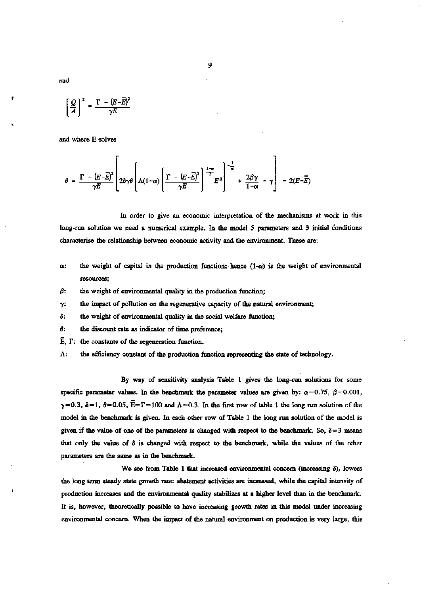$$
\left[\frac{Q}{A}\right]^2 = \frac{\Gamma - (E - \overline{E})^2}{\gamma E}
$$

and where E solves

$$
\theta = \frac{\Gamma - (E - \overline{E})^2}{\gamma E} \left[ 2\delta \gamma \theta \left[ \Lambda (1 - \alpha) \left( \frac{\Gamma - (E - \overline{E})^2}{\gamma E} \right)^{\frac{1 - \alpha}{2}} E^{\beta} \right]^{-\frac{1}{\alpha}} + \frac{2\beta \gamma}{1 - \alpha} - \gamma \right] - 2(E - \overline{E})
$$

In order to give an economic interpretation of the mechanisms at work in this long-run solution we need a numerical example. In the model 5 parameters and 3 initial conditions characterise the relationship between economic activity and the environment. These are:

- the weight of capital in the production function; hence  $(1-\alpha)$  is the weight of environmental  $\alpha$ : resources;
- $\beta$ : the weight of environmental quality in the production function;
- the impact of pollution on the regenerative capacity of the natural environment;  $\gamma$ :
- $\delta$ : the weight of environmental quality in the social welfare function;
- $\theta$ : the discount rate as indicator of time preference;
- $\overline{E}$ ,  $\Gamma$ : the constants of the regeneration function.
- $\Lambda$ : the efficiency constant of the production function representing the state of technology.

By way of sensitivity analysis Table 1 gives the long-run solutions for some specific parameter values. In the benchmark the parameter values are given by:  $\alpha = 0.75$ ,  $\beta = 0.001$ ,  $\gamma = 0.3$ ,  $\delta = 1$ ,  $\theta = 0.05$ ,  $\bar{E} = \Gamma = 100$  and  $\Lambda = 0.3$ . In the first row of table 1 the long run solution of the model in the benchmark is given. In each other row of Table 1 the long run solution of the model is given if the value of one of the parameters is changed with respect to the benchmark. So,  $\delta = 3$  means that only the value of  $\delta$  is changed with respect to the benchmark, while the values of the other parameters are the same as in the benchmark.

We see from Table 1 that increased environmental concern (increasing  $\delta$ ), lowers the long term steady state growth rate: abatement activities are increased, while the capital intensity of production increases and the environmental quality stabilizes at a higher level than in the benchmark. It is, however, theoretically possible to have increasing growth rates in this model under increasing environmental concern. When the impact of the natural environment on production is very large, this

and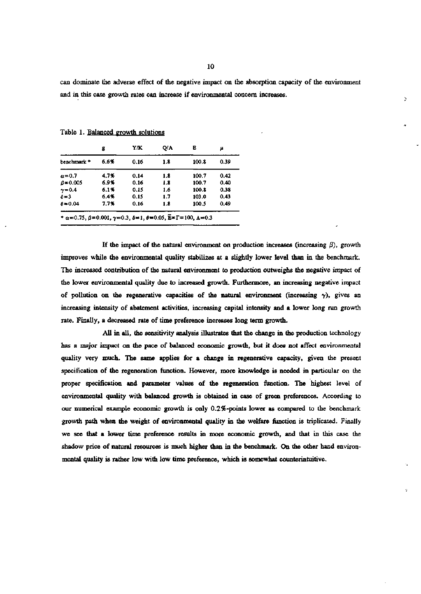can dominate the adverse effect of the negative impact on the absorption capacity of the environment and in this case growth rates can increase if environmental concern increases.

|                 | g    | YÆ   | O/A | Е     | μ    |
|-----------------|------|------|-----|-------|------|
| benchmark *     | 6.6% | 0.16 | 1.8 | 100.8 | 0.39 |
| $\alpha = 0.7$  | 4.7% | 0.14 | 1.8 | 100.7 | 0.42 |
| $\beta = 0.005$ | 6.9% | 0.16 | 1.8 | 100.7 | 0.40 |
| $\gamma = 0.4$  | 6.1% | 0.15 | 1.6 | 100.8 | 0.38 |
| $\delta = 3$    | 6.4% | 0.15 | 1.7 | 103.0 | 0.43 |
| $0*0.04$        | 7.7% | 0.16 | 1.8 | 100.5 | 0.49 |

Table 1. Balanced growth solutions

If the impact of the natural environment on production increases (increasing  $\beta$ ), growth improves while the environmental quality stabilizes at a slightly lower level than in the benchmark. The increased contribution of the natural environment to production outweighs the negative impact of the lower environmental quality due to increased growth. Furthermore, an increasing negative impact of pollution on the regenerative capacities of the natural environment (increasing  $\gamma$ ), gives an increasing intensity of abatement activities, increasing capital intensity and a lower long run growth rate. Finally, a decreased rate of time preference increases long term growth.

All in all, the sensitivity analysis illustrates that the change in the production technology has a major impact on the pace of balanced economie growth, but it does not affect environmental quality very much. The same applies for a change in regenerative capacity, given the present specification of the regeneration function. However, more knowledge is needed in particular on the proper specification and parameter values of the regeneration function. The highest level of environmental quality with balanced growth is obtained in case of green preferences. According to our numerical example economie growth is only 0.2%-points lower as compared to the benchmark growth path when the weight of environmental quality in the welfare function is triplicated. Finally we see that a lower time preference results in more economie growth, and that in this case the shadow price of natural resources is much higher than in the benchmark. On the other hand environmental quality is rather low with low time preference, which is somewhat counterintuitive.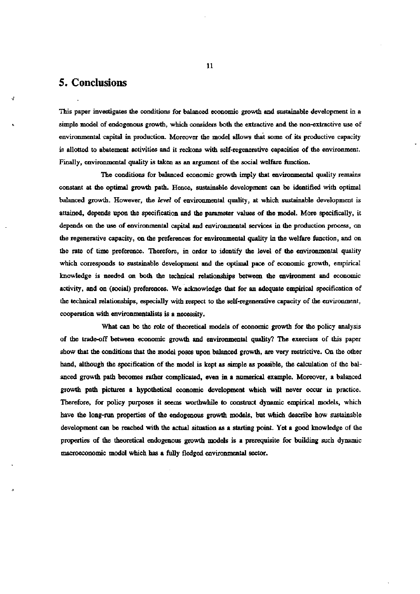## **5. Conclusions**

This paper investigates the conditions for balanced economie growth and sustainable development in a simple model of endogenous growth, which considers both the extractive and the non-extractive use of environmental capital in production. Moreover the model allows that some of its productive capacity is allotted to abatement activities and it reckons with self-regenerative capacities of the environment. Finally, environmental quality is taken as an argument of the social welfare function.

The conditions for balanced economie growth imply that environmental quality remains constant at the optima! growth path. Hence, sustainable development can be identified with optimal balanced growth. However, the *level* of environmental quality, at which sustainable development is attained, depends upon the specification and the parameter values of the model. More specifically, it depends on the use of environmental capital and environmental services in the production process, on the regenerative capacity, on the preferences for environmental quality in the welfare function, and on the rate of time preference. Therefore, in order to identify the level of the environmental quality which corresponds to sustainable development and the optimal pace of economic growth, empirical knowledge is needed on both the technical relationships between the environment and economie activity, and on (social) preferences. We acknowledge that for an adequate empirical specification of the technical relationships, especially with respect to the self-regenerative capacity of the environment, cooperation with environmentalists is a necessity.

What can be the role of theoretical models of economie growth for the policy analysis of the trade-off between economie growth and environmental quality? The exercises of this paper show that the conditions that the model poses upon balanced growth, are very restrictive. On the other hand, although the specification of the model is kept as simple as possible, the calculation of the balanced growth path becomes rather complicated, even in a numerical example. Moreover, a balanced growth path pictures a hypothetical economie development which will never occur in practice. Therefore, for policy purposes it seems worthwhile to construct dynamic empirical models, which have the long-run properties of the endogenous growth models, but which describe how sustainable development can be reached with the actual situation as a starting point. Yet a good knowledge of the properties of the theoretical endogenous growth models is a prerequisite for building such dynamic macroeconomic model which has a fully fledged environmental sector.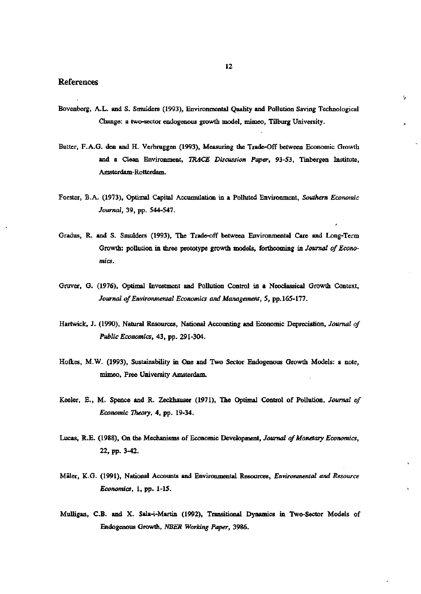#### References

- Bovenberg, A.L. and S. Smulders (1993), Environmental Quality and Pollution Saving Technological Change: a two-sector endogenous growth model, mimeo, Tilburg University.
- Butter, F.A.G. den and H. Verbraggen (1993), Measuring the Trade-Off between Economie Growth and a Clean Environment, *TRACÉ Discussion Paper,* 93-53, Tinbergen Institute, Amsterdam-Rotterdam.
- Forster, B.A. (1973), Optimal Capital Accumulation in a Polluted Environment, *Southern Economie Journal,* 39, pp. 544-547.
- Gradus, R. and S. Smulders (1993), The Trade-off between Environmental Care and Long-Term Growth: pollution in three prototype growth models, forthcoming in *Journal of Economics.*
- Graver, G. (1976), Optimal Investment and Pollution Control in a Neoclassical Growth Context, *Journal of Environmental Economics and Management, 5,* pp. 165-177.
- Hartwick, J. (1990), Natural Resources, National Accounting and Economie Depreciation, *Journal of Public Economics,* 43, pp. 291-304.
- Hofkes, M.W. (1993), Sustainability in One and Two Sector Endogenous Growth Models: a note, mimeo, Free University Amsterdam.
- Keeler, E., M. Spence and R. Zeckhauser (1971), The Optimal Control of Pollution, *Journal of Economie Theory,* 4, pp. 19-34.
- Lucas, R.E. (1988), On the Mechanisms of Economic Development, *Journal of Monetary Economics*, 22, pp. 3-42.
- Maler, K.G. (1991), National Accounts and Environmental Resources, *Environmental and Resource Economics,* 1, pp. 1-15.
- Mulligan, C.B. and X. Sala-i-Martin (1992), Transitional Dynamics in Two-Sector Models of Endogenous Growth, NBER Working Paper, 3986.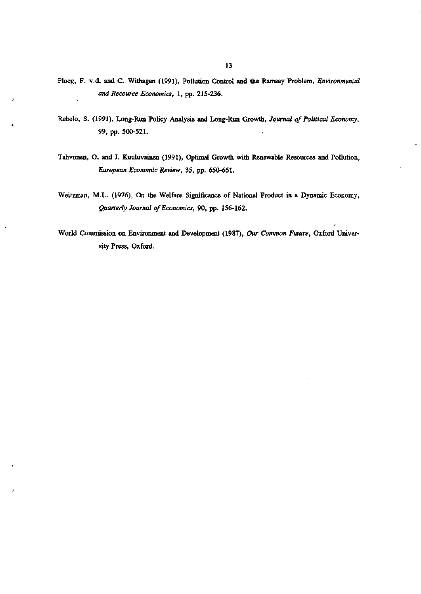- Ploeg, F. v.d. and C. Withagen (1991), Pollution Control and the Ramsey Problem, *Environmental and Recource Economics,* 1, pp. 215-236.
- Rebelo, S. (1991), Long-Run Policy Analysis and Long-Run Growth, *Journal of Political Economy*, 99, pp. 500-521.
- Tahvonen, O. and J. Kuuluvainen (1991), Optimal Growth with Renewable Resources and Pollution, *European Economie Review,* 35, pp. 650-661.
- Weitzman, M.L. (1976), On the Welfare Significance of National Product in a Dynamic Economy, *Quarterfy Journal of Economics,* 90, pp. 156-162.
- World Commission on Environment and Development (1987), Our Common Future, Oxford University Press, Oxford.